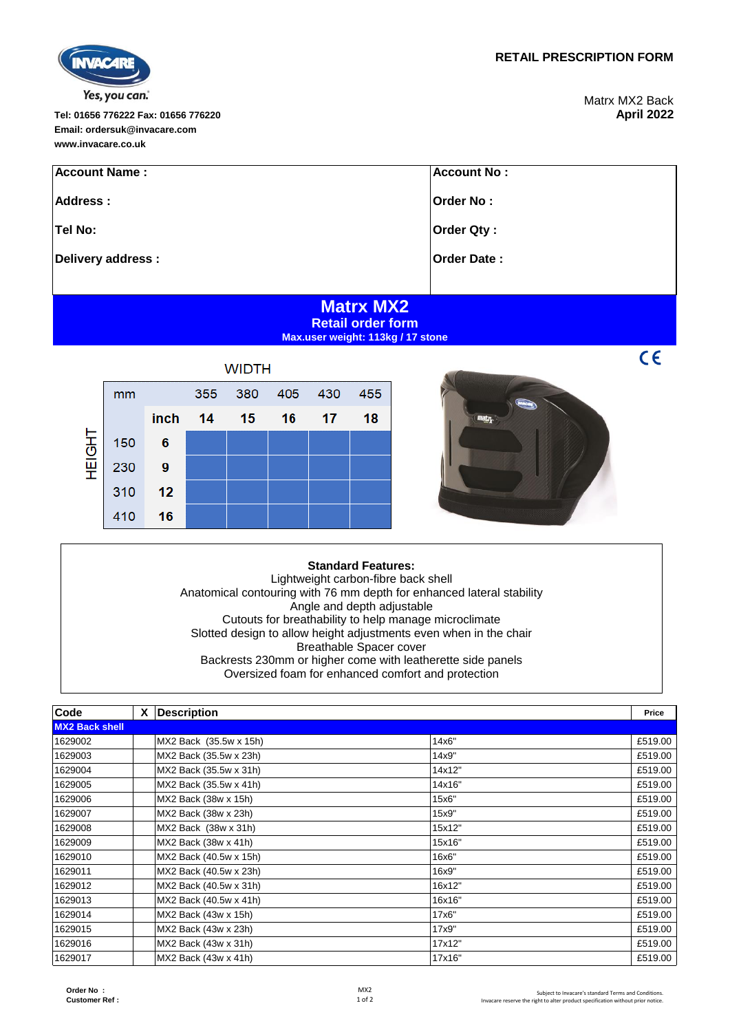**Order No : Customer Ref :**

**www.invacare.co.uk**

**Tel: 01656 776222 Fax: 01656 776220 April 2022 Email: ordersuk@invacare.com**

Yes, you can.

Matrx MX2 Back<br>**April 2022** 

 $C\epsilon$ 

| <b>Account Name:</b> | <b>Account No:</b> |
|----------------------|--------------------|
| Address:             | Order No:          |
| Tel No:              | <b>Order Qty:</b>  |
| Delivery address:    | <b>Order Date:</b> |
|                      |                    |
| .<br>-----           |                    |

## **Matrx MX2 Retail order form Max.user weight: 113kg / 17 stone**

|               | <b>WIDTH</b> |      |     |     |     |     |     |
|---------------|--------------|------|-----|-----|-----|-----|-----|
| <b>HEIGHT</b> | mm           |      | 355 | 380 | 405 | 430 | 455 |
|               |              | inch | 14  | 15  | 16  | 17  | 18  |
|               | 150          | 6    |     |     |     |     |     |
|               | 230          | 9    |     |     |     |     |     |
|               | 310          | 12   |     |     |     |     |     |
|               | 410          | 16   |     |     |     |     |     |



## **Standard Features:**

Lightweight carbon-fibre back shell Anatomical contouring with 76 mm depth for enhanced lateral stability Angle and depth adjustable Cutouts for breathability to help manage microclimate Slotted design to allow height adjustments even when in the chair Breathable Spacer cover Backrests 230mm or higher come with leatherette side panels Oversized foam for enhanced comfort and protection

| Code                  | <b>Description</b><br><b>X</b> |        | Price   |
|-----------------------|--------------------------------|--------|---------|
| <b>MX2 Back shell</b> |                                |        |         |
| 1629002               | MX2 Back (35.5w x 15h)         | 14x6"  | £519.00 |
| 1629003               | MX2 Back (35.5w x 23h)         | 14x9"  | £519.00 |
| 1629004               | MX2 Back (35.5w x 31h)         | 14x12" | £519.00 |
| 1629005               | MX2 Back (35.5w x 41h)         | 14x16" | £519.00 |
| 1629006               | MX2 Back (38w x 15h)           | 15x6"  | £519.00 |
| 1629007               | MX2 Back (38w x 23h)           | 15x9"  | £519.00 |
| 1629008               | MX2 Back (38w x 31h)           | 15x12" | £519.00 |
| 1629009               | MX2 Back (38w x 41h)           | 15x16" | £519.00 |
| 1629010               | MX2 Back (40.5w x 15h)         | 16x6"  | £519.00 |
| 1629011               | MX2 Back (40.5w x 23h)         | 16x9"  | £519.00 |
| 1629012               | MX2 Back (40.5w x 31h)         | 16x12" | £519.00 |
| 1629013               | MX2 Back (40.5w x 41h)         | 16x16" | £519.00 |
| 1629014               | MX2 Back (43w x 15h)           | 17x6"  | £519.00 |
| 1629015               | MX2 Back (43w x 23h)           | 17x9"  | £519.00 |
| 1629016               | MX2 Back (43w x 31h)           | 17x12" | £519.00 |
| 1629017               | MX2 Back (43w x 41h)           | 17x16" | £519.00 |